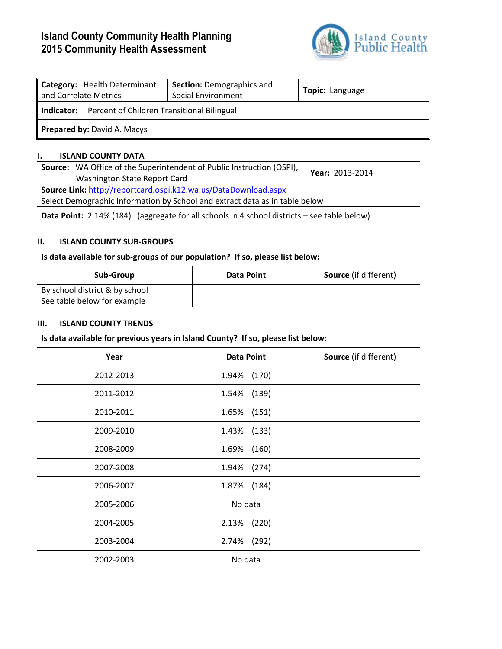# **Island County Community Health Planning 2015 Community Health Assessment**



| Category: Health Determinant<br>and Correlate Metrics        | <b>Section: Demographics and</b><br>Social Environment | Topic: Language |  |  |
|--------------------------------------------------------------|--------------------------------------------------------|-----------------|--|--|
| <b>Indicator:</b> Percent of Children Transitional Bilingual |                                                        |                 |  |  |
| <b>Prepared by: David A. Macys</b>                           |                                                        |                 |  |  |

## **I. ISLAND COUNTY DATA**

| <b>Source:</b> WA Office of the Superintendent of Public Instruction (OSPI),<br>Washington State Report Card                                   | Year: 2013-2014 |  |  |
|------------------------------------------------------------------------------------------------------------------------------------------------|-----------------|--|--|
| Source Link: http://reportcard.ospi.k12.wa.us/DataDownload.aspx<br>Select Demographic Information by School and extract data as in table below |                 |  |  |
| <b>Data Point:</b> 2.14% (184) (aggregate for all schools in 4 school districts – see table below)                                             |                 |  |  |

## **II. ISLAND COUNTY SUB-GROUPS**

| Is data available for sub-groups of our population? If so, please list below: |            |                              |  |  |
|-------------------------------------------------------------------------------|------------|------------------------------|--|--|
| Sub-Group                                                                     | Data Point | <b>Source</b> (if different) |  |  |
| By school district & by school<br>See table below for example                 |            |                              |  |  |

## **III. ISLAND COUNTY TRENDS**

| Is data available for previous years in Island County? If so, please list below: |                   |                       |  |  |
|----------------------------------------------------------------------------------|-------------------|-----------------------|--|--|
| Year                                                                             | <b>Data Point</b> | Source (if different) |  |  |
| 2012-2013                                                                        | 1.94% (170)       |                       |  |  |
| 2011-2012                                                                        | 1.54% (139)       |                       |  |  |
| 2010-2011                                                                        | 1.65% (151)       |                       |  |  |
| 2009-2010                                                                        | 1.43% (133)       |                       |  |  |
| 2008-2009                                                                        | 1.69% (160)       |                       |  |  |
| 2007-2008                                                                        | 1.94% (274)       |                       |  |  |
| 2006-2007                                                                        | 1.87% (184)       |                       |  |  |
| 2005-2006                                                                        | No data           |                       |  |  |
| 2004-2005                                                                        | 2.13% (220)       |                       |  |  |
| 2003-2004                                                                        | 2.74% (292)       |                       |  |  |
| 2002-2003                                                                        | No data           |                       |  |  |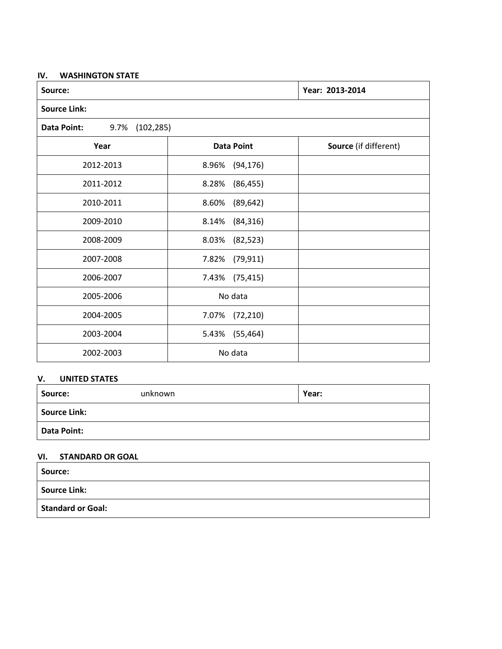#### **IV. WASHINGTON STATE**

| Source:                           | Year: 2013-2014    |                       |  |  |
|-----------------------------------|--------------------|-----------------------|--|--|
| <b>Source Link:</b>               |                    |                       |  |  |
| 9.7%<br>(102, 285)<br>Data Point: |                    |                       |  |  |
| Year                              | <b>Data Point</b>  | Source (if different) |  |  |
| 2012-2013                         | (94, 176)<br>8.96% |                       |  |  |
| 2011-2012                         | 8.28%<br>(86, 455) |                       |  |  |
| 2010-2011                         | 8.60%<br>(89, 642) |                       |  |  |
| 2009-2010                         | (84, 316)<br>8.14% |                       |  |  |
| 2008-2009                         | 8.03%<br>(82, 523) |                       |  |  |
| 2007-2008                         | 7.82%<br>(79, 911) |                       |  |  |
| 2006-2007                         | 7.43%<br>(75, 415) |                       |  |  |
| 2005-2006                         | No data            |                       |  |  |
| 2004-2005                         | (72, 210)<br>7.07% |                       |  |  |
| 2003-2004                         | (55, 464)<br>5.43% |                       |  |  |
| 2002-2003                         | No data            |                       |  |  |

## **V. UNITED STATES**

| Source:             | unknown | Year: |
|---------------------|---------|-------|
| <b>Source Link:</b> |         |       |
| <b>Data Point:</b>  |         |       |

### **VI. STANDARD OR GOAL**

| Source:                  |  |
|--------------------------|--|
| <b>Source Link:</b>      |  |
| <b>Standard or Goal:</b> |  |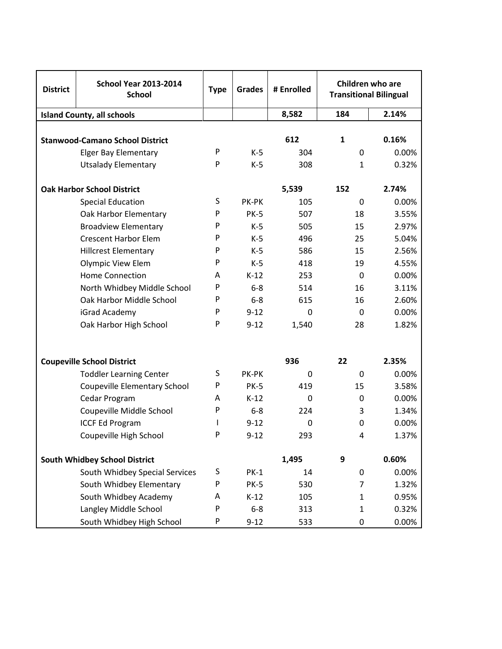| <b>District</b> | <b>School Year 2013-2014</b><br><b>School</b> | <b>Type</b> | <b>Grades</b> | # Enrolled  | Children who are<br><b>Transitional Bilingual</b> |       |
|-----------------|-----------------------------------------------|-------------|---------------|-------------|---------------------------------------------------|-------|
|                 | <b>Island County, all schools</b>             |             |               | 8,582       | 184                                               | 2.14% |
|                 | <b>Stanwood-Camano School District</b>        |             |               | 612         | $\mathbf{1}$                                      | 0.16% |
|                 | <b>Elger Bay Elementary</b>                   | P           | $K-5$         | 304         | $\mathbf 0$                                       | 0.00% |
|                 | <b>Utsalady Elementary</b>                    | P           | $K-5$         | 308         | $\mathbf{1}$                                      | 0.32% |
|                 | <b>Oak Harbor School District</b>             |             |               | 5,539       | 152                                               | 2.74% |
|                 | <b>Special Education</b>                      | S           | PK-PK         | 105         | $\mathbf 0$                                       | 0.00% |
|                 | Oak Harbor Elementary                         | P           | <b>PK-5</b>   | 507         | 18                                                | 3.55% |
|                 | <b>Broadview Elementary</b>                   | P           | K-5           | 505         | 15                                                | 2.97% |
|                 | <b>Crescent Harbor Elem</b>                   | P           | K-5           | 496         | 25                                                | 5.04% |
|                 | <b>Hillcrest Elementary</b>                   | P           | K-5           | 586         | 15                                                | 2.56% |
|                 | Olympic View Elem                             | P           | $K-5$         | 418         | 19                                                | 4.55% |
|                 | <b>Home Connection</b>                        | A           | $K-12$        | 253         | $\mathbf 0$                                       | 0.00% |
|                 | North Whidbey Middle School                   | P           | $6 - 8$       | 514         | 16                                                | 3.11% |
|                 | Oak Harbor Middle School                      | P           | $6-8$         | 615         | 16                                                | 2.60% |
|                 | iGrad Academy                                 | P           | $9 - 12$      | $\Omega$    | 0                                                 | 0.00% |
|                 | Oak Harbor High School                        | P           | $9 - 12$      | 1,540       | 28                                                | 1.82% |
|                 |                                               |             |               |             |                                                   |       |
|                 | <b>Coupeville School District</b>             |             |               | 936         | 22                                                | 2.35% |
|                 | <b>Toddler Learning Center</b>                | S           | PK-PK         | $\mathbf 0$ | $\mathbf 0$                                       | 0.00% |
|                 | Coupeville Elementary School                  | P           | <b>PK-5</b>   | 419         | 15                                                | 3.58% |
|                 | Cedar Program                                 | A           | $K-12$        | $\mathbf 0$ | 0                                                 | 0.00% |
|                 | Coupeville Middle School                      | P           | $6-8$         | 224         | 3                                                 | 1.34% |
|                 | <b>ICCF Ed Program</b>                        |             | $9 - 12$      | $\mathbf 0$ | 0                                                 | 0.00% |
|                 | Coupeville High School                        | Ρ           | $9 - 12$      | 293         | 4                                                 | 1.37% |
|                 | <b>South Whidbey School District</b>          |             |               | 1,495       | 9                                                 | 0.60% |
|                 | South Whidbey Special Services                | S           | $PK-1$        | 14          | $\boldsymbol{0}$                                  | 0.00% |
|                 | South Whidbey Elementary                      | P           | <b>PK-5</b>   | 530         | 7                                                 | 1.32% |
|                 | South Whidbey Academy                         | Α           | $K-12$        | 105         | $\mathbf{1}$                                      | 0.95% |
|                 | Langley Middle School                         | P           | $6 - 8$       | 313         | $\mathbf{1}$                                      | 0.32% |
|                 | South Whidbey High School                     | P           | $9 - 12$      | 533         | 0                                                 | 0.00% |